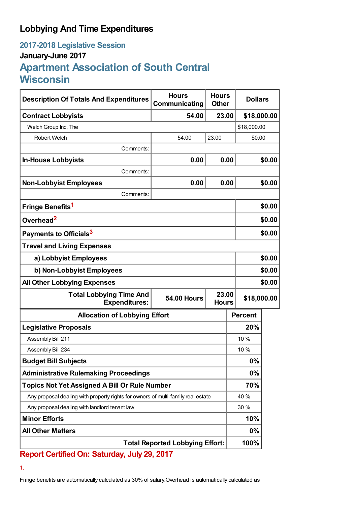## **Lobbying And Time Expenditures**

## **2017-2018 Legislative Session January-June 2017 Apartment Association of South Central Wisconsin**

| <b>Description Of Totals And Expenditures</b>                                    | <b>Hours</b><br>Communicating               | <b>Hours</b><br><b>Other</b> | <b>Dollars</b> |        |  |
|----------------------------------------------------------------------------------|---------------------------------------------|------------------------------|----------------|--------|--|
| <b>Contract Lobbyists</b>                                                        | 54.00                                       | 23.00                        | \$18,000.00    |        |  |
| Welch Group Inc, The                                                             |                                             |                              | \$18,000.00    |        |  |
| <b>Robert Welch</b>                                                              | 54.00                                       | 23.00                        | \$0.00         |        |  |
| Comments:                                                                        |                                             |                              |                |        |  |
| <b>In-House Lobbyists</b>                                                        | 0.00                                        | 0.00                         |                | \$0.00 |  |
| Comments:                                                                        |                                             |                              |                |        |  |
| <b>Non-Lobbyist Employees</b>                                                    | 0.00                                        | 0.00                         |                | \$0.00 |  |
| Comments:                                                                        |                                             |                              |                |        |  |
| Fringe Benefits <sup>1</sup>                                                     |                                             |                              |                | \$0.00 |  |
| Overhead <sup>2</sup>                                                            |                                             |                              | \$0.00         |        |  |
| Payments to Officials <sup>3</sup>                                               |                                             |                              |                | \$0.00 |  |
| <b>Travel and Living Expenses</b>                                                |                                             |                              |                |        |  |
| a) Lobbyist Employees                                                            |                                             |                              | \$0.00         |        |  |
| b) Non-Lobbyist Employees                                                        |                                             |                              | \$0.00         |        |  |
| <b>All Other Lobbying Expenses</b>                                               |                                             |                              |                | \$0.00 |  |
| <b>Total Lobbying Time And</b><br><b>Expenditures:</b>                           | 23.00<br><b>54.00 Hours</b><br><b>Hours</b> |                              | \$18,000.00    |        |  |
| <b>Allocation of Lobbying Effort</b>                                             |                                             |                              | <b>Percent</b> |        |  |
| <b>Legislative Proposals</b>                                                     |                                             |                              | 20%            |        |  |
| Assembly Bill 211                                                                |                                             |                              | 10 %           |        |  |
| Assembly Bill 234                                                                |                                             |                              | 10 %           |        |  |
| <b>Budget Bill Subjects</b>                                                      |                                             |                              | 0%             |        |  |
| <b>Administrative Rulemaking Proceedings</b>                                     |                                             |                              | 0%             |        |  |
| <b>Topics Not Yet Assigned A Bill Or Rule Number</b>                             |                                             |                              | 70%            |        |  |
| Any proposal dealing with property rights for owners of multi-family real estate |                                             |                              | 40 %           |        |  |
| Any proposal dealing with landlord tenant law                                    |                                             |                              | 30 %           |        |  |
| <b>Minor Efforts</b>                                                             |                                             |                              | 10%            |        |  |
| <b>All Other Matters</b>                                                         |                                             |                              | $0\%$          |        |  |
| <b>Total Reported Lobbying Effort:</b>                                           |                                             |                              | 100%           |        |  |

## **Report Certified On: Saturday, July 29, 2017**